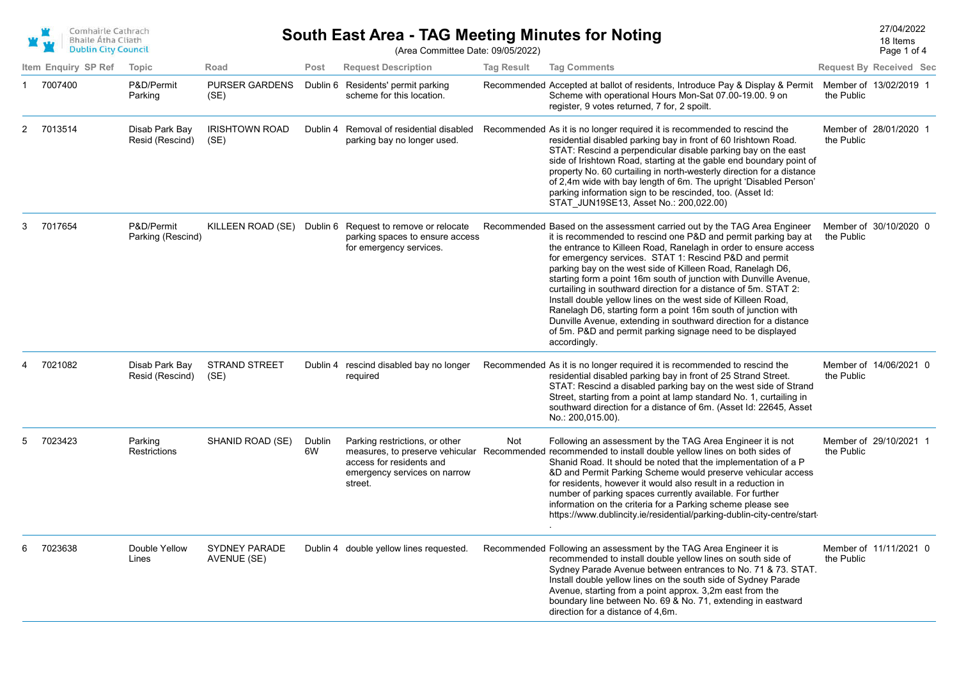| Comhairle Cathrach<br><b>Bhaile Átha Cliath</b><br><b>Dublin City Council</b> |
|-------------------------------------------------------------------------------|
|                                                                               |

Page 1 of 4

18 Items

(Area Committee Date: 09/05/2022)

|   | Item Enquiry SP Ref | <b>Topic</b>                      | Road                                | Post         | <b>Request Description</b>                                                                            | <b>Tag Result</b> | <b>Tag Comments</b>                                                                                                                                                                                                                                                                                                                                                                                                                                                                                                                                                                                                                                                                                                                                                |            | <b>Request By Received Sec</b> |
|---|---------------------|-----------------------------------|-------------------------------------|--------------|-------------------------------------------------------------------------------------------------------|-------------------|--------------------------------------------------------------------------------------------------------------------------------------------------------------------------------------------------------------------------------------------------------------------------------------------------------------------------------------------------------------------------------------------------------------------------------------------------------------------------------------------------------------------------------------------------------------------------------------------------------------------------------------------------------------------------------------------------------------------------------------------------------------------|------------|--------------------------------|
|   | 7007400             | P&D/Permit<br>Parking             | <b>PURSER GARDENS</b><br>(SE)       | Dublin 6     | Residents' permit parking<br>scheme for this location.                                                |                   | Recommended Accepted at ballot of residents, Introduce Pay & Display & Permit<br>Scheme with operational Hours Mon-Sat 07.00-19.00. 9 on<br>register, 9 votes returned, 7 for, 2 spoilt.                                                                                                                                                                                                                                                                                                                                                                                                                                                                                                                                                                           | the Public | Member of 13/02/2019 1         |
| 2 | 7013514             | Disab Park Bay<br>Resid (Rescind) | <b>IRISHTOWN ROAD</b><br>(SE)       | Dublin 4     | Removal of residential disabled<br>parking bay no longer used.                                        |                   | Recommended As it is no longer required it is recommended to rescind the<br>residential disabled parking bay in front of 60 Irishtown Road.<br>STAT: Rescind a perpendicular disable parking bay on the east<br>side of Irishtown Road, starting at the gable end boundary point of<br>property No. 60 curtailing in north-westerly direction for a distance<br>of 2,4m wide with bay length of 6m. The upright 'Disabled Person'<br>parking information sign to be rescinded, too. (Asset Id:<br>STAT JUN19SE13, Asset No.: 200,022.00)                                                                                                                                                                                                                           | the Public | Member of 28/01/2020 1         |
| 3 | 7017654             | P&D/Permit<br>Parking (Rescind)   | KILLEEN ROAD (SE)                   |              | Dublin 6 Request to remove or relocate<br>parking spaces to ensure access<br>for emergency services.  |                   | Recommended Based on the assessment carried out by the TAG Area Engineer<br>it is recommended to rescind one P&D and permit parking bay at<br>the entrance to Killeen Road, Ranelagh in order to ensure access<br>for emergency services. STAT 1: Rescind P&D and permit<br>parking bay on the west side of Killeen Road, Ranelagh D6,<br>starting form a point 16m south of junction with Dunville Avenue,<br>curtailing in southward direction for a distance of 5m. STAT 2:<br>Install double yellow lines on the west side of Killeen Road,<br>Ranelagh D6, starting form a point 16m south of junction with<br>Dunville Avenue, extending in southward direction for a distance<br>of 5m. P&D and permit parking signage need to be displayed<br>accordingly. | the Public | Member of 30/10/2020 0         |
|   | 7021082             | Disab Park Bay<br>Resid (Rescind) | <b>STRAND STREET</b><br>(SE)        |              | Dublin 4 rescind disabled bay no longer<br>required                                                   |                   | Recommended As it is no longer required it is recommended to rescind the<br>residential disabled parking bay in front of 25 Strand Street.<br>STAT: Rescind a disabled parking bay on the west side of Strand<br>Street, starting from a point at lamp standard No. 1, curtailing in<br>southward direction for a distance of 6m. (Asset Id: 22645, Asset<br>No.: 200,015.00).                                                                                                                                                                                                                                                                                                                                                                                     | the Public | Member of 14/06/2021 0         |
| 5 | 7023423             | Parking<br>Restrictions           | SHANID ROAD (SE)                    | Dublin<br>6W | Parking restrictions, or other<br>access for residents and<br>emergency services on narrow<br>street. | Not               | Following an assessment by the TAG Area Engineer it is not<br>measures, to preserve vehicular Recommended recommended to install double yellow lines on both sides of<br>Shanid Road. It should be noted that the implementation of a P<br>&D and Permit Parking Scheme would preserve vehicular access<br>for residents, however it would also result in a reduction in<br>number of parking spaces currently available. For further<br>information on the criteria for a Parking scheme please see<br>https://www.dublincity.ie/residential/parking-dublin-city-centre/start-                                                                                                                                                                                    | the Public | Member of 29/10/2021 1         |
|   | 7023638             | Double Yellow<br>Lines            | <b>SYDNEY PARADE</b><br>AVENUE (SE) |              | Dublin 4 double yellow lines requested.                                                               |                   | Recommended Following an assessment by the TAG Area Engineer it is<br>recommended to install double yellow lines on south side of<br>Sydney Parade Avenue between entrances to No. 71 & 73. STAT.<br>Install double yellow lines on the south side of Sydney Parade<br>Avenue, starting from a point approx. 3,2m east from the<br>boundary line between No. 69 & No. 71, extending in eastward<br>direction for a distance of 4,6m.                                                                                                                                                                                                                                                                                                                               | the Public | Member of 11/11/2021 0         |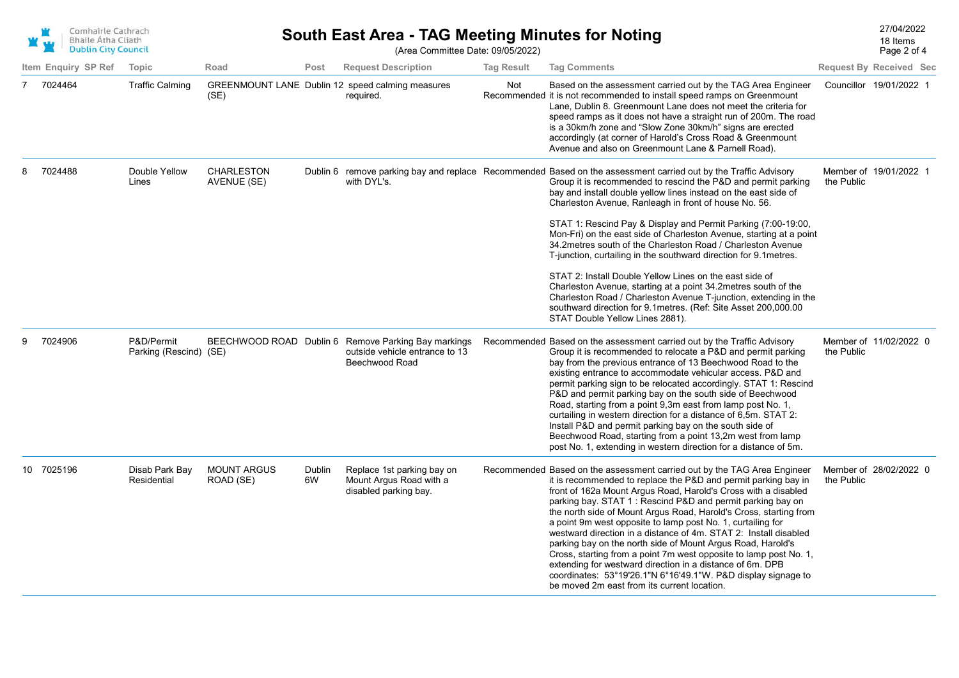| Comhairle Cathrach<br><b>Bhaile Átha Cliath</b><br><b>Dublin City Council</b> |
|-------------------------------------------------------------------------------|
|                                                                               |

(Area Committee Date: 09/05/2022)

|   | Item Enguiry SP Ref | Topic                                | Road                             | Post         | <b>Request Description</b>                                                                              | <b>Tag Result</b> | <b>Tag Comments</b>                                                                                                                                                                                                                                                                                                                                                                                                                                                                                                                                                                                                                                                                                                                                                                                                                                                                              |            | <b>Request By Received Sec</b> |
|---|---------------------|--------------------------------------|----------------------------------|--------------|---------------------------------------------------------------------------------------------------------|-------------------|--------------------------------------------------------------------------------------------------------------------------------------------------------------------------------------------------------------------------------------------------------------------------------------------------------------------------------------------------------------------------------------------------------------------------------------------------------------------------------------------------------------------------------------------------------------------------------------------------------------------------------------------------------------------------------------------------------------------------------------------------------------------------------------------------------------------------------------------------------------------------------------------------|------------|--------------------------------|
|   | 7 7024464           | <b>Traffic Calming</b>               | (SE)                             |              | GREENMOUNT LANE Dublin 12 speed calming measures<br>required.                                           | Not               | Based on the assessment carried out by the TAG Area Engineer<br>Recommended it is not recommended to install speed ramps on Greenmount<br>Lane, Dublin 8. Greenmount Lane does not meet the criteria for<br>speed ramps as it does not have a straight run of 200m. The road<br>is a 30km/h zone and "Slow Zone 30km/h" signs are erected<br>accordingly (at corner of Harold's Cross Road & Greenmount<br>Avenue and also on Greenmount Lane & Parnell Road).                                                                                                                                                                                                                                                                                                                                                                                                                                   |            | Councillor 19/01/2022 1        |
|   | 7024488             | Double Yellow<br>Lines               | <b>CHARLESTON</b><br>AVENUE (SE) |              | with DYL's.                                                                                             |                   | Dublin 6 remove parking bay and replace Recommended Based on the assessment carried out by the Traffic Advisory<br>Group it is recommended to rescind the P&D and permit parking<br>bay and install double yellow lines instead on the east side of<br>Charleston Avenue, Ranleagh in front of house No. 56.<br>STAT 1: Rescind Pay & Display and Permit Parking (7:00-19:00,<br>Mon-Fri) on the east side of Charleston Avenue, starting at a point<br>34.2 metres south of the Charleston Road / Charleston Avenue<br>T-junction, curtailing in the southward direction for 9.1 metres.<br>STAT 2: Install Double Yellow Lines on the east side of<br>Charleston Avenue, starting at a point 34.2metres south of the<br>Charleston Road / Charleston Avenue T-junction, extending in the<br>southward direction for 9.1 metres. (Ref: Site Asset 200,000.00<br>STAT Double Yellow Lines 2881). | the Public | Member of 19/01/2022 1         |
| g | 7024906             | P&D/Permit<br>Parking (Rescind) (SE) |                                  |              | BEECHWOOD ROAD Dublin 6 Remove Parking Bay markings<br>outside vehicle entrance to 13<br>Beechwood Road |                   | Recommended Based on the assessment carried out by the Traffic Advisory<br>Group it is recommended to relocate a P&D and permit parking<br>bay from the previous entrance of 13 Beechwood Road to the<br>existing entrance to accommodate vehicular access. P&D and<br>permit parking sign to be relocated accordingly. STAT 1: Rescind<br>P&D and permit parking bay on the south side of Beechwood<br>Road, starting from a point 9,3m east from lamp post No. 1,<br>curtailing in western direction for a distance of 6,5m. STAT 2:<br>Install P&D and permit parking bay on the south side of<br>Beechwood Road, starting from a point 13,2m west from lamp<br>post No. 1, extending in western direction for a distance of 5m.                                                                                                                                                              | the Public | Member of 11/02/2022 0         |
|   | 10 7025196          | Disab Park Bay<br>Residential        | <b>MOUNT ARGUS</b><br>ROAD (SE)  | Dublin<br>6W | Replace 1st parking bay on<br>Mount Argus Road with a<br>disabled parking bay.                          |                   | Recommended Based on the assessment carried out by the TAG Area Engineer<br>it is recommended to replace the P&D and permit parking bay in<br>front of 162a Mount Argus Road, Harold's Cross with a disabled<br>parking bay. STAT 1: Rescind P&D and permit parking bay on<br>the north side of Mount Argus Road, Harold's Cross, starting from<br>a point 9m west opposite to lamp post No. 1, curtailing for<br>westward direction in a distance of 4m. STAT 2: Install disabled<br>parking bay on the north side of Mount Argus Road, Harold's<br>Cross, starting from a point 7m west opposite to lamp post No. 1,<br>extending for westward direction in a distance of 6m. DPB<br>coordinates: 53°19'26.1"N 6°16'49.1"W. P&D display signage to<br>be moved 2m east from its current location.                                                                                              | the Public | Member of 28/02/2022 0         |

Page 2 of 4 18 Items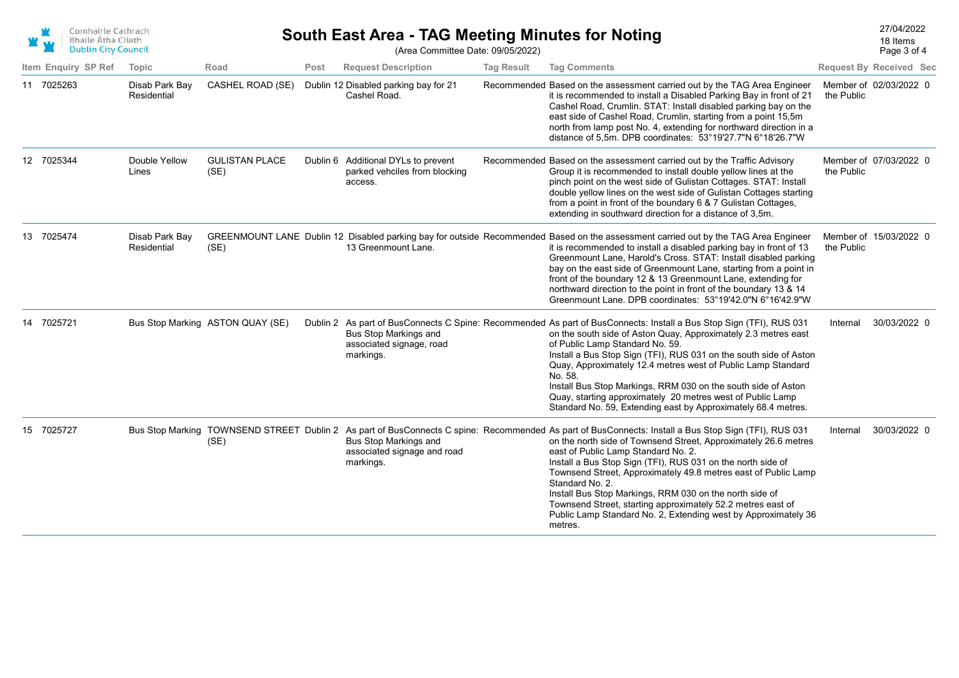| Comhairle Cathrach         |
|----------------------------|
| <b>Bhaile Átha Cliath</b>  |
| <b>Dublin City Council</b> |

Page 3 of 4 18 Items

|                     | <b>DUDLIN CIty Council</b>    |                                  |      | (Area Committee Date: 09/05/2022)                                               |                   |                                                                                                                                                                                                                                                                                                                                                                                                                                                                                                                                                                                                                           |            | Page 3 of 4                    |
|---------------------|-------------------------------|----------------------------------|------|---------------------------------------------------------------------------------|-------------------|---------------------------------------------------------------------------------------------------------------------------------------------------------------------------------------------------------------------------------------------------------------------------------------------------------------------------------------------------------------------------------------------------------------------------------------------------------------------------------------------------------------------------------------------------------------------------------------------------------------------------|------------|--------------------------------|
| Item Enquiry SP Ref | Topic                         | Road                             | Post | <b>Request Description</b>                                                      | <b>Tag Result</b> | <b>Tag Comments</b>                                                                                                                                                                                                                                                                                                                                                                                                                                                                                                                                                                                                       |            | <b>Request By Received Sec</b> |
| 11 7025263          | Disab Park Bay<br>Residential | CASHEL ROAD (SE)                 |      | Dublin 12 Disabled parking bay for 21<br>Cashel Road.                           |                   | Recommended Based on the assessment carried out by the TAG Area Engineer<br>it is recommended to install a Disabled Parking Bay in front of 21<br>Cashel Road, Crumlin. STAT: Install disabled parking bay on the<br>east side of Cashel Road, Crumlin, starting from a point 15,5m<br>north from lamp post No. 4, extending for northward direction in a<br>distance of 5,5m. DPB coordinates: 53°19'27.7"N 6°18'26.7"W                                                                                                                                                                                                  | the Public | Member of 02/03/2022 0         |
| 12 7025344          | Double Yellow<br>Lines        | <b>GULISTAN PLACE</b><br>(SE)    |      | Dublin 6 Additional DYLs to prevent<br>parked vehciles from blocking<br>access. |                   | Recommended Based on the assessment carried out by the Traffic Advisory<br>Group it is recommended to install double yellow lines at the<br>pinch point on the west side of Gulistan Cottages. STAT: Install<br>double yellow lines on the west side of Gulistan Cottages starting<br>from a point in front of the boundary 6 & 7 Gulistan Cottages,<br>extending in southward direction for a distance of 3,5m.                                                                                                                                                                                                          | the Public | Member of 07/03/2022 0         |
| 13 7025474          | Disab Park Bay<br>Residential | (SE)                             |      | 13 Greenmount Lane.                                                             |                   | GREENMOUNT LANE Dublin 12 Disabled parking bay for outside Recommended Based on the assessment carried out by the TAG Area Engineer<br>it is recommended to install a disabled parking bay in front of 13<br>Greenmount Lane, Harold's Cross. STAT: Install disabled parking<br>bay on the east side of Greenmount Lane, starting from a point in<br>front of the boundary 12 & 13 Greenmount Lane, extending for<br>northward direction to the point in front of the boundary 13 & 14<br>Greenmount Lane. DPB coordinates: 53°19'42.0"N 6°16'42.9"W                                                                      | the Public | Member of 15/03/2022 0         |
| 14 7025721          |                               | Bus Stop Marking ASTON QUAY (SE) |      | Bus Stop Markings and<br>associated signage, road<br>markings.                  |                   | Dublin 2 As part of BusConnects C Spine: Recommended As part of BusConnects: Install a Bus Stop Sign (TFI), RUS 031<br>on the south side of Aston Quay, Approximately 2.3 metres east<br>of Public Lamp Standard No. 59.<br>Install a Bus Stop Sign (TFI), RUS 031 on the south side of Aston<br>Quay, Approximately 12.4 metres west of Public Lamp Standard<br>No. 58.<br>Install Bus Stop Markings, RRM 030 on the south side of Aston<br>Quay, starting approximately 20 metres west of Public Lamp<br>Standard No. 59, Extending east by Approximately 68.4 metres.                                                  | Internal   | 30/03/2022 0                   |
| 15 7025727          |                               | (SE)                             |      | Bus Stop Markings and<br>associated signage and road<br>markings.               |                   | Bus Stop Marking TOWNSEND STREET Dublin 2 As part of BusConnects C spine: Recommended As part of BusConnects: Install a Bus Stop Sign (TFI), RUS 031<br>on the north side of Townsend Street, Approximately 26.6 metres<br>east of Public Lamp Standard No. 2.<br>Install a Bus Stop Sign (TFI), RUS 031 on the north side of<br>Townsend Street, Approximately 49.8 metres east of Public Lamp<br>Standard No. 2.<br>Install Bus Stop Markings, RRM 030 on the north side of<br>Townsend Street, starting approximately 52.2 metres east of<br>Public Lamp Standard No. 2, Extending west by Approximately 36<br>metres. | Internal   | 30/03/2022 0                   |